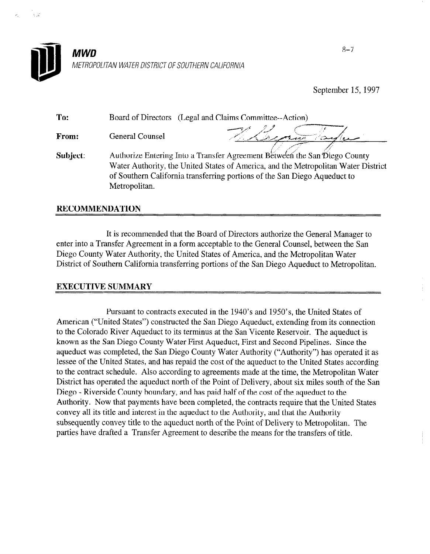

September 15, 1997

To: Board of Directors (Legal and Claims Committee--Action)

From: General Counsel

ye - y/p {/ ---y--- , where  $\mathcal{P}=\mathcal{P}$  , and  $\mathcal{P}=\mathcal{P}$  $\frac{1}{\sqrt{2}}$ 

Subject: Authorize Entering Into a Transfer Agreement Between the San Diego County Water Authority, the United States of America, and the Metropolitan Water District of Southern California transferring portions of the San Diego Aqueduct to Metropolitan.

## RECOMMENDATION

It is recommended that the Board of Directors authorize the General Manager to enter into a Transfer Agreement in a form acceptable to the General Counsel, between the San Diego County Water Authority, the United States of America, and the Metropolitan Water District of Southern California transferring portions of the San Diego Aqueduct to Metropolitan.

# EXECUTIVE SUMMARY

Pursuant to contracts executed in the 1940's and 1950's, the United States of  $\frac{1}{2}$  united States ( $\frac{1}{2}$  constructed the  $\frac{1}{2}$  connection  $\frac{1}{2}$  connection in the  $\frac{1}{2}$  connection  $\frac{1}{2}$  connection  $\frac{1}{2}$  connection  $\frac{1}{2}$  connection  $\frac{1}{2}$  connection  $\frac{1}{2}$  connec American ("United States") constructed the San Diego Aqueduct, extending from its connection to the Colorado River Aqueduct to its terminus at the San Vicente Reservoir. The aqueduct is known as the San Diego County Water First Aqueduct, First and Second Pipelines. Since the aqueduct was completed, the San Diego County Water Authority ("Authority") has operated it as lessee of the United States, and has repaid the cost of the aqueduct to the United States according to the contract schedule. Also according to agreements made at the time, the Metropolitan Water District has operated the aqueduct north of the Point of Delivery, about six miles south of the San Diego - Riverside County boundary, and has paid half of the cost of the aqueduct to the Authority. Now that payments have been completed, the contracts require that the United States convey all its title and interest in the aqueduct to the Authority, and that the Authority subsequently convey title to the aqueduct north of the Point of Delivery to Metropolitan. The parties have drafted a Transfer Agreement to describe the means for the transfers of title.

8-7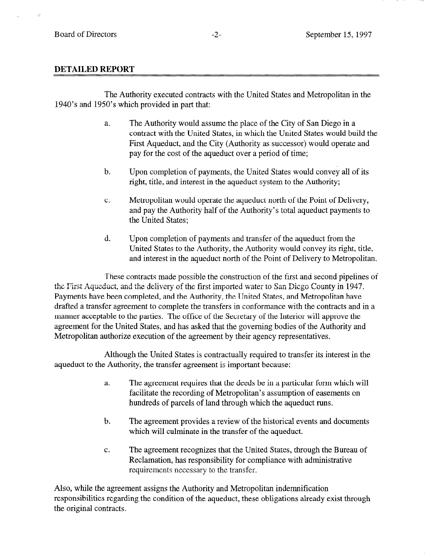### DETAILED REPORT

The Authority executed contracts with the United States and Metropolitan in the 1940's and 1950's which provided in part that:

- a. The Authority would assume the place of the City of San Diego in a contract with the United States, in which the United States would build the First Aqueduct, and the City (Authority as successor) would operate and pay for the cost of the aqueduct over a period of time;
- b. Upon completion of payments, the United States would convey all of its right, title, and interest in the aqueduct system to the Authority;
- C. Metropolitan would operate the aqueduct north of the Point of Delivery, and pay the Authority half of the Authority's total aqueduct payments to the United States ;
- d. Upon completion of payments and transfer of the aqueduct from the United States to the Authority, the Authority would convey its right, title, and interest in the aqueduct north of the Point of Delivery to Metropolitan.

These contracts made possible the construction of the first and second pipelines of the First Aqueduct, and the delivery of the first imported water to San Diego County in 1947. Payments have been completed, and the Authority, the United States, and Metropolitan have drafted a transfer agreement to complete the transfers in conformance with the contracts and in a manner acceptable to the parties. The office of the Secretary of the Interior will approve the agreement for the United States, and has asked that the governing bodies of the Authority and Metropolitan authorize execution of the agreement by their agency representatives.

Although the United States is contractually required to transfer its interest in the aqueduct to the Authority, the transfer agreement is important because:

- a. The agreement requires that the deeds be in a particular form which will facilitate the recording of Metropolitan's assumption of easements on hundreds of parcels of land through which the aqueduct runs.
- b. The agreement provides a review of the historical events and documents which will culminate in the transfer of the aqueduct.
- C. The agreement recognizes that the United States, through the Bureau of Reclamation, has responsibility for compliance with administrative requirements necessary to the transfer.

Also, while the agreement assigns the Authority and Metropolitan indemnification responsibilities regarding the condition of the aqueduct, these obligations already exist through the original contracts.